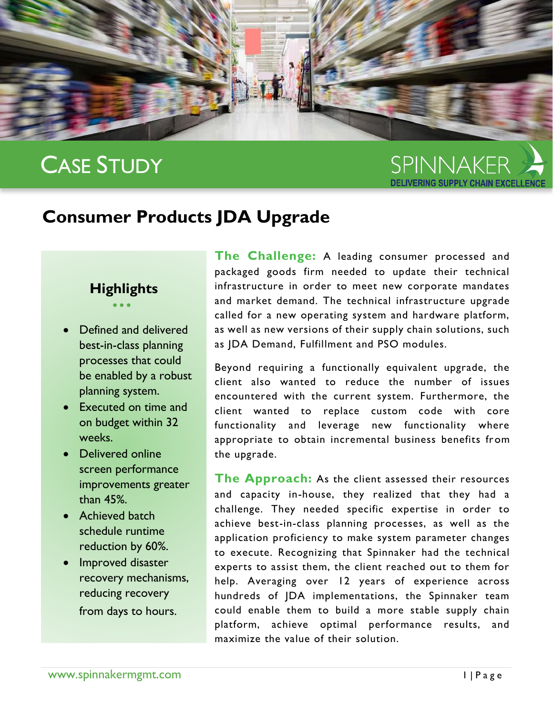

# CASE STUDY

SPINNAKER

# **Consumer Products JDA Upgrade**

## **Highlights**  $\bullet$   $\bullet$   $\bullet$

- Defined and delivered best-in-class planning processes that could be enabled by a robust planning system.
- Executed on time and on budget within 32 weeks.
- Delivered online screen performance improvements greater than 45%.
- Achieved batch schedule runtime reduction by 60%.
- Improved disaster recovery mechanisms, reducing recovery from days to hours.

**The Challenge:** A leading consumer processed and packaged goods firm needed to update their technical infrastructure in order to meet new corporate mandates and market demand. The technical infrastructure upgrade called for a new operating system and hardware platform, as well as new versions of their supply chain solutions, such as JDA Demand, Fulfillment and PSO modules.

Beyond requiring a functionally equivalent upgrade, the client also wanted to reduce the number of issues encountered with the current system. Furthermore, the client wanted to replace custom code with core functionality and leverage new functionality where appropriate to obtain incremental business benefits from the upgrade.

**The Approach:** As the client assessed their resources and capacity in-house, they realized that they had a challenge. They needed specific expertise in order to achieve best-in-class planning processes, as well as the application proficiency to make system parameter changes to execute. Recognizing that Spinnaker had the technical experts to assist them, the client reached out to them for help. Averaging over 12 years of experience across hundreds of JDA implementations, the Spinnaker team could enable them to build a more stable supply chain platform, achieve optimal performance results, and maximize the value of their solution.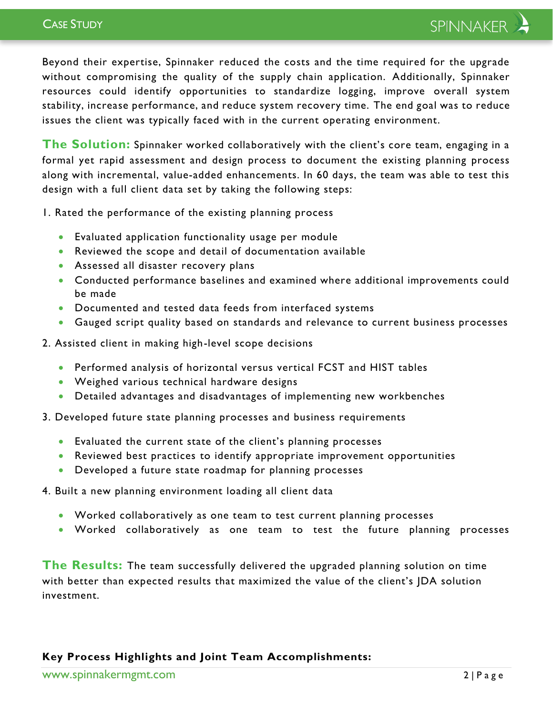Beyond their expertise, Spinnaker reduced the costs and the time required for the upgrade without compromising the quality of the supply chain application. Additionally, Spinnaker resources could identify opportunities to standardize logging, improve overall system stability, increase performance, and reduce system recovery time. The end goal was to reduce issues the client was typically faced with in the current operating environment.

**The Solution:** Spinnaker worked collaboratively with the client's core team, engaging in a formal yet rapid assessment and design process to document the existing planning process along with incremental, value-added enhancements. In 60 days, the team was able to test this design with a full client data set by taking the following steps:

1. Rated the performance of the existing planning process

- Evaluated application functionality usage per module
- Reviewed the scope and detail of documentation available
- Assessed all disaster recovery plans
- Conducted performance baselines and examined where additional improvements could be made
- Documented and tested data feeds from interfaced systems
- Gauged script quality based on standards and relevance to current business processes
- 2. Assisted client in making high-level scope decisions
	- Performed analysis of horizontal versus vertical FCST and HIST tables
	- Weighed various technical hardware designs
	- Detailed advantages and disadvantages of implementing new workbenches
- 3. Developed future state planning processes and business requirements
	- Evaluated the current state of the client's planning processes
	- Reviewed best practices to identify appropriate improvement opportunities
	- Developed a future state roadmap for planning processes
- 4. Built a new planning environment loading all client data
	- Worked collaboratively as one team to test current planning processes
	- Worked collaboratively as one team to test the future planning processes

**The Results:** The team successfully delivered the upgraded planning solution on time with better than expected results that maximized the value of the client's JDA solution investment.

#### **Key Process Highlights and Joint Team Accomplishments:**